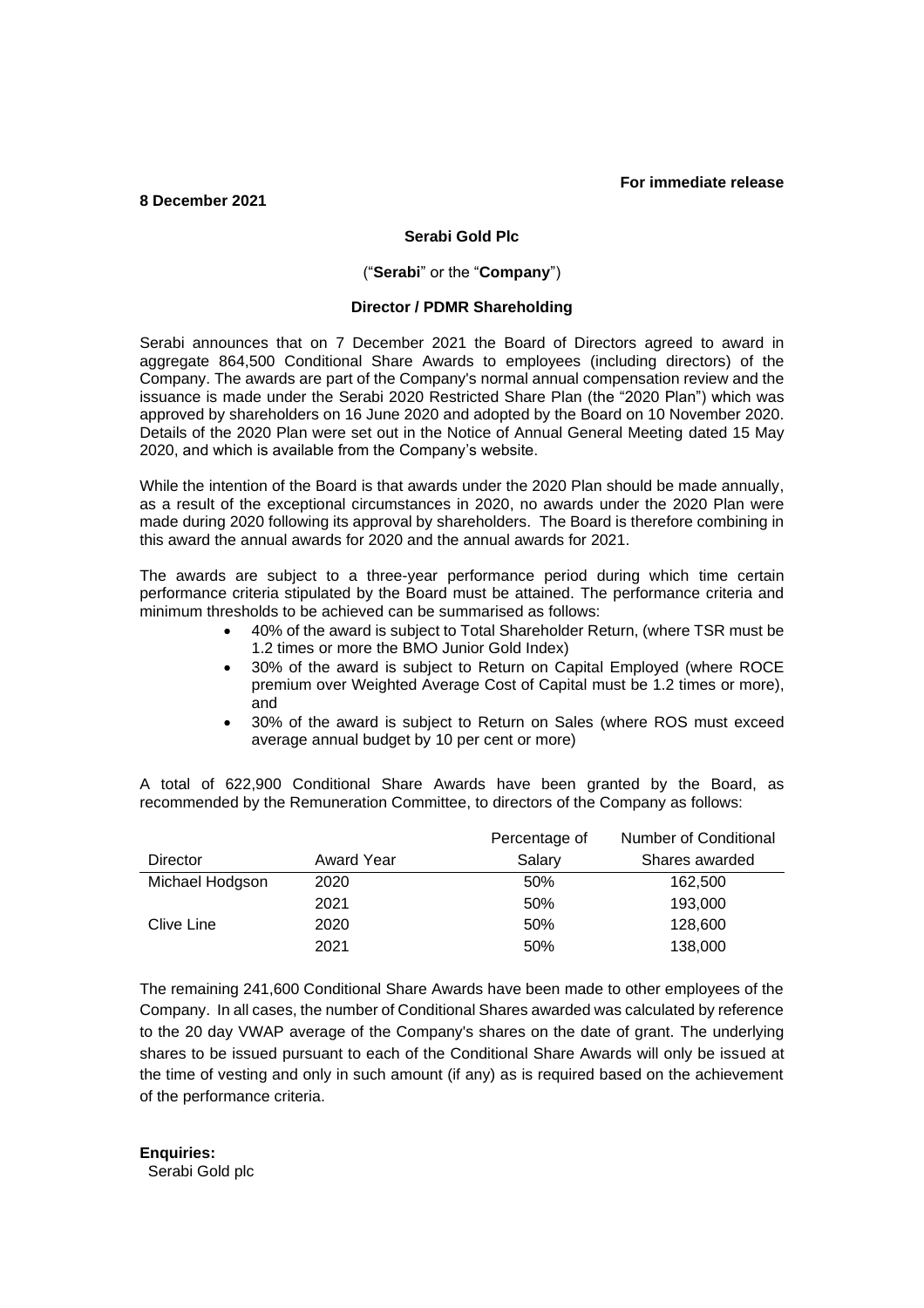# **For immediate release**

### **8 December 2021**

# **Serabi Gold Plc**

### ("**Serabi**" or the "**Company**")

# **Director / PDMR Shareholding**

Serabi announces that on 7 December 2021 the Board of Directors agreed to award in aggregate 864,500 Conditional Share Awards to employees (including directors) of the Company. The awards are part of the Company's normal annual compensation review and the issuance is made under the Serabi 2020 Restricted Share Plan (the "2020 Plan") which was approved by shareholders on 16 June 2020 and adopted by the Board on 10 November 2020. Details of the 2020 Plan were set out in the Notice of Annual General Meeting dated 15 May 2020, and which is available from the Company's website.

While the intention of the Board is that awards under the 2020 Plan should be made annually, as a result of the exceptional circumstances in 2020, no awards under the 2020 Plan were made during 2020 following its approval by shareholders. The Board is therefore combining in this award the annual awards for 2020 and the annual awards for 2021.

The awards are subject to a three-year performance period during which time certain performance criteria stipulated by the Board must be attained. The performance criteria and minimum thresholds to be achieved can be summarised as follows:

- 40% of the award is subject to Total Shareholder Return, (where TSR must be 1.2 times or more the BMO Junior Gold Index)
- 30% of the award is subject to Return on Capital Employed (where ROCE premium over Weighted Average Cost of Capital must be 1.2 times or more), and
- 30% of the award is subject to Return on Sales (where ROS must exceed average annual budget by 10 per cent or more)

A total of 622,900 Conditional Share Awards have been granted by the Board, as recommended by the Remuneration Committee, to directors of the Company as follows:

|                 |            | Percentage of | Number of Conditional |
|-----------------|------------|---------------|-----------------------|
| Director        | Award Year | Salary        | Shares awarded        |
| Michael Hodgson | 2020       | 50%           | 162,500               |
|                 | 2021       | 50%           | 193,000               |
| Clive Line      | 2020       | 50%           | 128,600               |
|                 | 2021       | 50%           | 138,000               |

The remaining 241,600 Conditional Share Awards have been made to other employees of the Company. In all cases, the number of Conditional Shares awarded was calculated by reference to the 20 day VWAP average of the Company's shares on the date of grant. The underlying shares to be issued pursuant to each of the Conditional Share Awards will only be issued at the time of vesting and only in such amount (if any) as is required based on the achievement of the performance criteria.

**Enquiries:**

Serabi Gold plc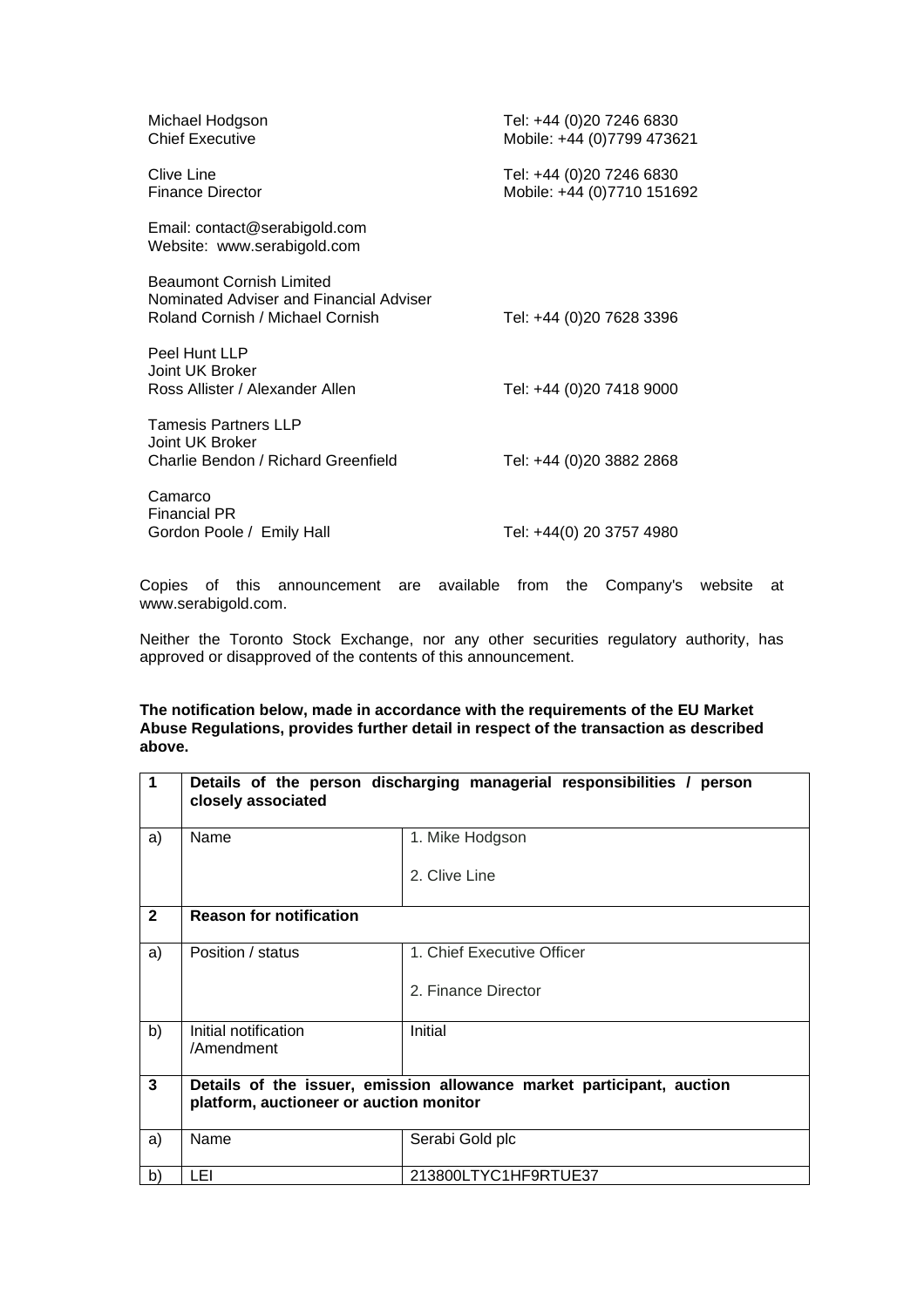| Michael Hodgson<br><b>Chief Executive</b>                                                                      | Tel: +44 (0)20 7246 6830<br>Mobile: +44 (0)7799 473621 |
|----------------------------------------------------------------------------------------------------------------|--------------------------------------------------------|
| Clive Line<br>Finance Director                                                                                 | Tel: +44 (0)20 7246 6830<br>Mobile: +44 (0)7710 151692 |
| Email: contact@serabigold.com<br>Website: www.serabigold.com                                                   |                                                        |
| <b>Beaumont Cornish Limited</b><br>Nominated Adviser and Financial Adviser<br>Roland Cornish / Michael Cornish | Tel: +44 (0)20 7628 3396                               |
| Peel Hunt LLP<br>Joint UK Broker<br>Ross Allister / Alexander Allen                                            | Tel: +44 (0)20 7418 9000                               |
| <b>Tamesis Partners LLP</b><br>Joint UK Broker<br>Charlie Bendon / Richard Greenfield                          | Tel: +44 (0)20 3882 2868                               |
| Camarco<br><b>Financial PR</b><br>Gordon Poole / Emily Hall                                                    | Tel: +44(0) 20 3757 4980                               |

Copies of this announcement are available from the Company's website at [www.serabigold.com.](http://www.serabigold.com/)

Neither the Toronto Stock Exchange, nor any other securities regulatory authority, has approved or disapproved of the contents of this announcement.

### **The notification below, made in accordance with the requirements of the EU Market Abuse Regulations, provides further detail in respect of the transaction as described above.**

| $\overline{1}$ | Details of the person discharging managerial responsibilities / person<br>closely associated |                            |  |  |  |
|----------------|----------------------------------------------------------------------------------------------|----------------------------|--|--|--|
| a)             | Name                                                                                         | 1. Mike Hodgson            |  |  |  |
|                |                                                                                              | 2. Clive Line              |  |  |  |
| $\overline{2}$ | <b>Reason for notification</b>                                                               |                            |  |  |  |
| a)             | Position / status                                                                            | 1. Chief Executive Officer |  |  |  |
|                |                                                                                              | 2. Finance Director        |  |  |  |
| b)             | Initial notification<br>/Amendment                                                           | Initial                    |  |  |  |
| $\mathbf{3}$   | Details of the issuer, emission allowance market participant, auction                        |                            |  |  |  |
|                | platform, auctioneer or auction monitor                                                      |                            |  |  |  |
| a)             | Name                                                                                         | Serabi Gold plc            |  |  |  |
| b)             | LEI                                                                                          | 213800LTYC1HF9RTUE37       |  |  |  |